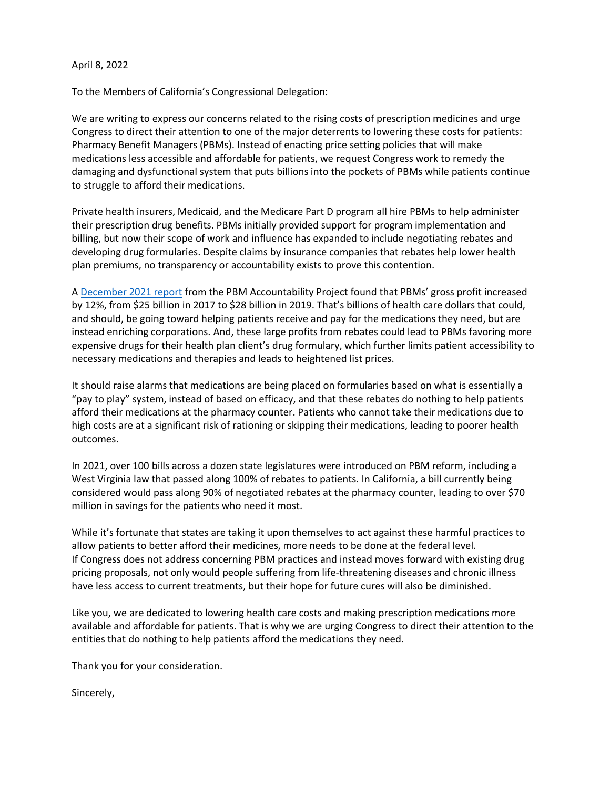## April 8, 2022

To the Members of California's Congressional Delegation:

We are writing to express our concerns related to the rising costs of prescription medicines and urge Congress to direct their attention to one of the major deterrents to lowering these costs for patients: Pharmacy Benefit Managers (PBMs). Instead of enacting price setting policies that will make medications less accessible and affordable for patients, we request Congress work to remedy the damaging and dysfunctional system that puts billions into the pockets of PBMs while patients continue to struggle to afford their medications.

Private health insurers, Medicaid, and the Medicare Part D program all hire PBMs to help administer their prescription drug benefits. PBMs initially provided support for program implementation and billing, but now their scope of work and influence has expanded to include negotiating rebates and developing drug formularies. Despite claims by insurance companies that rebates help lower health plan premiums, no transparency or accountability exists to prove this contention.

A [December 2021 report](https://urlisolation.com/browser?url=https%3A%2F%2Fb11210f4-9a71-4e4c-a08f-cf43a83bc1df.usrfiles.com%2Fugd%2Fb11210_264612f6b98e47b3a8502054f66bb2a1.pdf&traceToken=1647362438;phrma_2_hosted;https:/news.bloomberglaw.com/hea&clickId=CDE56AD1-9813-4C5F-9A4B-5EBD198EB77B) from the PBM Accountability Project found that PBMs' gross profit increased by 12%, from \$25 billion in 2017 to \$28 billion in 2019. That's billions of health care dollars that could, and should, be going toward helping patients receive and pay for the medications they need, but are instead enriching corporations. And, these large profits from rebates could lead to PBMs favoring more expensive drugs for their health plan client's drug formulary, which further limits patient accessibility to necessary medications and therapies and leads to heightened list prices.

It should raise alarms that medications are being placed on formularies based on what is essentially a "pay to play" system, instead of based on efficacy, and that these rebates do nothing to help patients afford their medications at the pharmacy counter. Patients who cannot take their medications due to high costs are at a significant risk of rationing or skipping their medications, leading to poorer health outcomes.

In 2021, over 100 bills across a dozen state legislatures were introduced on PBM reform, including a West Virginia law that passed along 100% of rebates to patients. In California, a bill currently being considered would pass along 90% of negotiated rebates at the pharmacy counter, leading to over \$70 million in savings for the patients who need it most.

While it's fortunate that states are taking it upon themselves to act against these harmful practices to allow patients to better afford their medicines, more needs to be done at the federal level. If Congress does not address concerning PBM practices and instead moves forward with existing drug pricing proposals, not only would people suffering from life-threatening diseases and chronic illness have less access to current treatments, but their hope for future cures will also be diminished.

Like you, we are dedicated to lowering health care costs and making prescription medications more available and affordable for patients. That is why we are urging Congress to direct their attention to the entities that do nothing to help patients afford the medications they need.

Thank you for your consideration.

Sincerely,